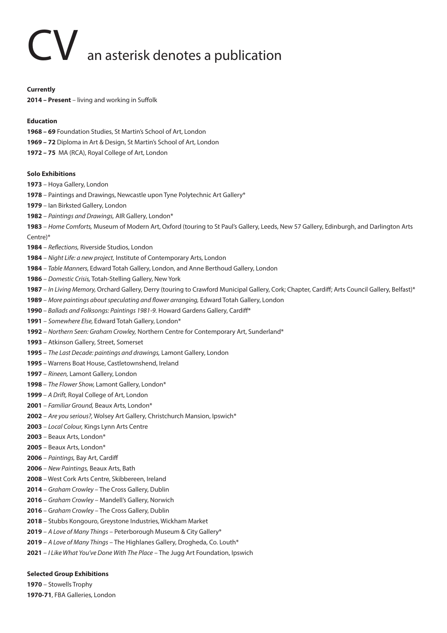# CV an asterisk denotes a publication

### **Currently**

**2014 – Present** – living and working in Suffolk

## **Education**

- **1968 69** Foundation Studies, St Martin's School of Art, London
- **1969 72** Diploma in Art & Design, St Martin's School of Art, London
- **1972 75** MA (RCA), Royal College of Art, London

### **Solo Exhibitions**

- Hoya Gallery, London
- Paintings and Drawings, Newcastle upon Tyne Polytechnic Art Gallery\*
- Ian Birksted Gallery, London
- *Paintings and Drawings,* AIR Gallery, London\*
- *Home Comforts,* Museum of Modern Art, Oxford (touring to St Paul's Gallery, Leeds, New 57 Gallery, Edinburgh, and Darlington Arts Centre)\*
- *Reflections,* Riverside Studios, London
- *Night Life: a new project,* Institute of Contemporary Arts, London
- – *Table Manners,* Edward Totah Gallery, London, and Anne Berthoud Gallery, London
- *Domestic Crisis,* Totah-Stelling Gallery, New York
- *In Living Memory,* Orchard Gallery, Derry (touring to Crawford Municipal Gallery, Cork; Chapter, Cardiff; Arts Council Gallery, Belfast)\*
- *More paintings about speculating and flower arranging,* Edward Totah Gallery, London
- – *Ballads and Folksongs: Paintings 1981-9.* Howard Gardens Gallery, Cardiff\*
- *Somewhere Else,* Edward Totah Gallery, London\*
- *Northern Seen: Graham Crowley,* Northern Centre for Contemporary Art, Sunderland\*
- Atkinson Gallery, Street, Somerset
- *The Last Decade: paintings and drawings,* Lamont Gallery, London
- Warrens Boat House, Castletownshend, Ireland
- *Rineen,* Lamont Gallery, London
- *The Flower Show,* Lamont Gallery, London\*
- *A Drift,* Royal College of Art, London
- *Familiar Ground,* Beaux Arts, London\*
- *Are you serious?,* Wolsey Art Gallery, Christchurch Mansion, Ipswich\*
- *Local Colour,* Kings Lynn Arts Centre
- Beaux Arts, London\*
- Beaux Arts, London\*
- *Paintings,* Bay Art, Cardiff
- *New Paintings,* Beaux Arts, Bath
- West Cork Arts Centre, Skibbereen, Ireland
- *Graham Crowley*  The Cross Gallery, Dublin
- *Graham Crowley* Mandell's Gallery, Norwich
- G*raham Crowley*  The Cross Gallery, Dublin
- Stubbs Kongouro, Greystone Industries, Wickham Market
- *A Love of Many Things* Peterborough Museum & City Gallery\*
- *A Love of Many Things* The Highlanes Gallery, Drogheda, Co. Louth\*
- *I Like What You've Done With The Place* The Jugg Art Foundation, Ipswich

# **Selected Group Exhibitions**

– Stowells Trophy

**1970-71**, FBA Galleries, London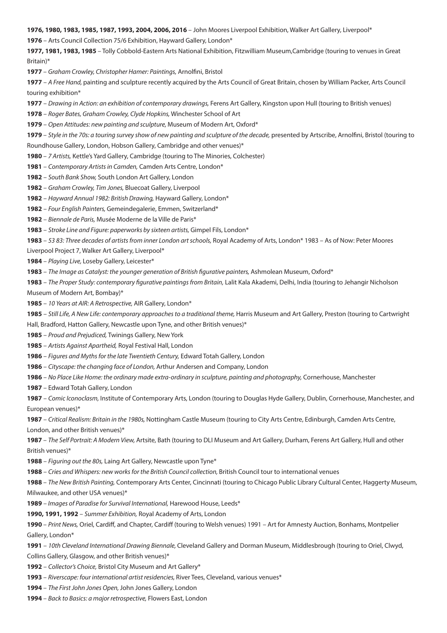**1976, 1980, 1983, 1985, 1987, 1993, 2004, 2006, 2016** – John Moores Liverpool Exhibition, Walker Art Gallery, Liverpool\*

– Arts Council Collection 75/6 Exhibition, Hayward Gallery, London\*

**1977, 1981, 1983, 1985** – Tolly Cobbold-Eastern Arts National Exhibition, Fitzwilliam Museum,Cambridge (touring to venues in Great Britain)\*

– *Graham Crowley, Christopher Hamer: Paintings,* Arnolfini, Bristol

 – *A Free Hand,* painting and sculpture recently acquired by the Arts Council of Great Britain, chosen by William Packer, Arts Council touring exhibition\*

– *Drawing in Action: an exhibition of contemporary drawings,* Ferens Art Gallery, Kingston upon Hull (touring to British venues)

– *Roger Bates, Graham Crowley, Clyde Hopkins,* Winchester School of Art

– *Open Attitudes: new painting and sculpture,* Museum of Modern Art, Oxford\*

– *Style in the 70s: a touring survey show of new painting and sculpture of the decade,* presented by Artscribe, Arnolfini, Bristol (touring to Roundhouse Gallery, London, Hobson Gallery, Cambridge and other venues)\*

– *7 Artists,* Kettle's Yard Gallery, Cambridge (touring to The Minories, Colchester)

– *Contemporary Artists in Camden,* Camden Arts Centre, London\*

– *South Bank Show,* South London Art Gallery, London

– *Graham Crowley, Tim Jones,* Bluecoat Gallery, Liverpool

– *Hayward Annual 1982: British Drawing,* Hayward Gallery, London\*

– *Four English Painters,* Gemeindegalerie, Emmen, Switzerland\*

– *Biennale de Paris,* Musée Moderne de la Ville de Paris\*

– *Stroke Line and Figure: paperworks by sixteen artists,* Gimpel Fils, London\*

– *53 83: Three decades of artists from inner London art schools,* Royal Academy of Arts, London\* 1983 – As of Now: Peter Moores

Liverpool Project 7, Walker Art Gallery, Liverpool\*

– *Playing Live,* Loseby Gallery, Leicester\*

– *The Image as Catalyst: the younger generation of British figurative painters,* Ashmolean Museum, Oxford\*

 – *The Proper Study: contemporary figurative paintings from Britain,* Lalit Kala Akademi, Delhi, India (touring to Jehangir Nicholson Museum of Modern Art, Bombay)\*

– *10 Years at AIR: A Retrospective,* AIR Gallery, London\*

– Still Life, A New Life: contemporary approaches to a traditional theme, Harris Museum and Art Gallery, Preston (touring to Cartwright

Hall, Bradford, Hatton Gallery, Newcastle upon Tyne, and other British venues)\*

– *Proud and Prejudiced,* Twinings Gallery, New York

– *Artists Against Apartheid,* Royal Festival Hall, London

– *Figures and Myths for the late Twentieth Century,* Edward Totah Gallery, London

– *Cityscape: the changing face of London,* Arthur Andersen and Company, London

– *No Place Like Home: the ordinary made extra-ordinary in sculpture, painting and photography,* Cornerhouse, Manchester

– Edward Totah Gallery, London

 – *Comic Iconoclasm,* Institute of Contemporary Arts, London (touring to Douglas Hyde Gallery, Dublin, Cornerhouse, Manchester, and European venues)\*

 – *Critical Realism: Britain in the 1980s,* Nottingham Castle Museum (touring to City Arts Centre, Edinburgh, Camden Arts Centre, London, and other British venues)\*

– *The Self Portrait: A Modern View,* Artsite, Bath (touring to DLI Museum and Art Gallery, Durham, Ferens Art Gallery, Hull and other British venues)\*

– *Figuring out the 80s,* Laing Art Gallery, Newcastle upon Tyne\*

– *Cries and Whispers: new works for the British Council collection,* British Council tour to international venues

– *The New British Painting,* Contemporary Arts Center, Cincinnati (touring to Chicago Public Library Cultural Center, Haggerty Museum, Milwaukee, and other USA venues)\*

– *Images of Paradise for Survival International,* Harewood House, Leeds\*

**1990, 1991, 1992** – *Summer Exhibition,* Royal Academy of Arts, London

– *Print News,* Oriel, Cardiff, and Chapter, Cardiff (touring to Welsh venues) 1991 – Art for Amnesty Auction, Bonhams, Montpelier Gallery, London\*

 – *10th Cleveland International Drawing Biennale,* Cleveland Gallery and Dorman Museum, Middlesbrough (touring to Oriel, Clwyd, Collins Gallery, Glasgow, and other British venues)\*

– *Collector's Choice,* Bristol City Museum and Art Gallery\*

– *Riverscape: four international artist residencies,* River Tees, Cleveland, various venues\*

– *The First John Jones Open,* John Jones Gallery, London

– *Back to Basics: a major retrospective,* Flowers East, London